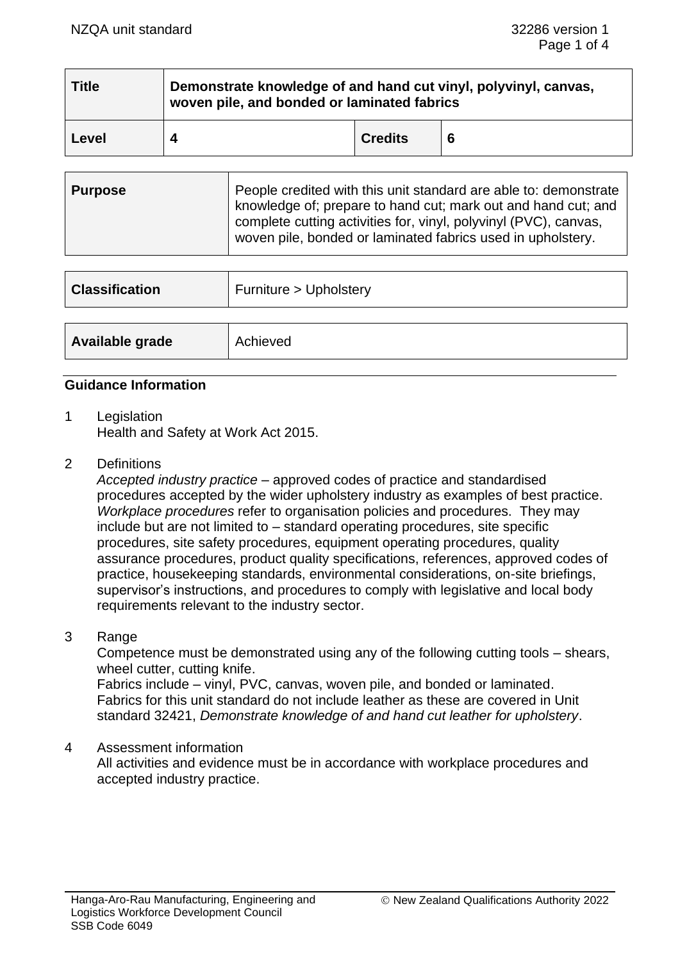| $\mid$ Title | Demonstrate knowledge of and hand cut vinyl, polyvinyl, canvas,<br>woven pile, and bonded or laminated fabrics |                |  |  |  |
|--------------|----------------------------------------------------------------------------------------------------------------|----------------|--|--|--|
| Level        |                                                                                                                | <b>Credits</b> |  |  |  |

| <b>Purpose</b> | People credited with this unit standard are able to: demonstrate<br>knowledge of; prepare to hand cut; mark out and hand cut; and<br>complete cutting activities for, vinyl, polyvinyl (PVC), canvas,<br>woven pile, bonded or laminated fabrics used in upholstery. |
|----------------|----------------------------------------------------------------------------------------------------------------------------------------------------------------------------------------------------------------------------------------------------------------------|
|----------------|----------------------------------------------------------------------------------------------------------------------------------------------------------------------------------------------------------------------------------------------------------------------|

| <b>Classification</b> | Furniture > Upholstery |
|-----------------------|------------------------|
| Available grade       | Achieved               |

#### **Guidance Information**

- 1 Legislation Health and Safety at Work Act 2015.
- 2 Definitions

*Accepted industry practice* – approved codes of practice and standardised procedures accepted by the wider upholstery industry as examples of best practice. *Workplace procedures* refer to organisation policies and procedures. They may include but are not limited to – standard operating procedures, site specific procedures, site safety procedures, equipment operating procedures, quality assurance procedures, product quality specifications, references, approved codes of practice, housekeeping standards, environmental considerations, on-site briefings, supervisor's instructions, and procedures to comply with legislative and local body requirements relevant to the industry sector.

#### 3 Range

Competence must be demonstrated using any of the following cutting tools – shears, wheel cutter, cutting knife.

Fabrics include – vinyl, PVC, canvas, woven pile, and bonded or laminated. Fabrics for this unit standard do not include leather as these are covered in Unit standard 32421, *Demonstrate knowledge of and hand cut leather for upholstery*.

#### 4 Assessment information

All activities and evidence must be in accordance with workplace procedures and accepted industry practice.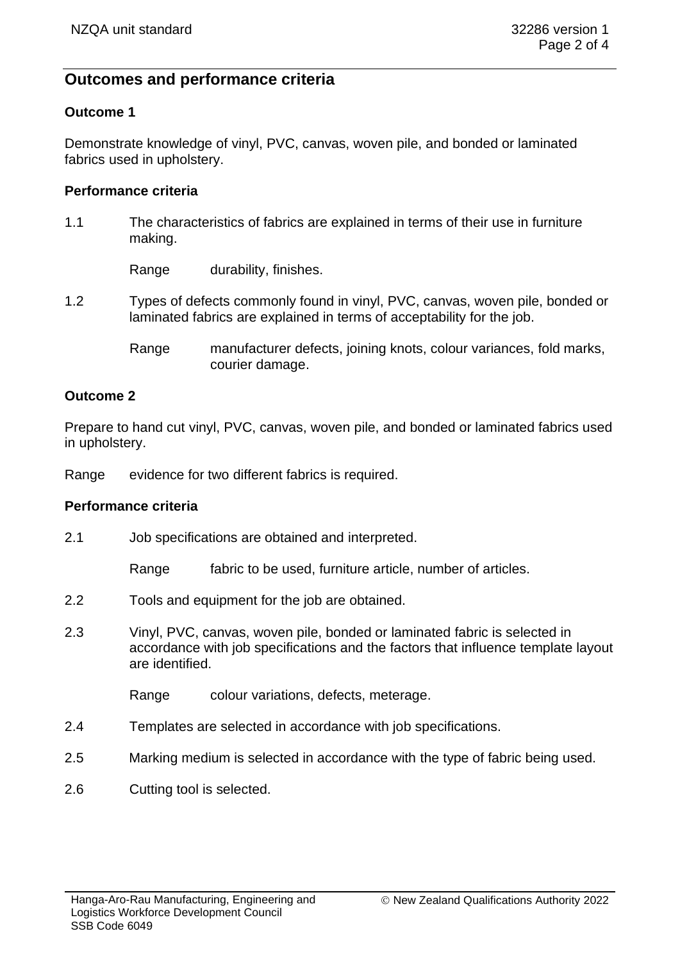# **Outcomes and performance criteria**

## **Outcome 1**

Demonstrate knowledge of vinyl, PVC, canvas, woven pile, and bonded or laminated fabrics used in upholstery.

#### **Performance criteria**

1.1 The characteristics of fabrics are explained in terms of their use in furniture making.

Range durability, finishes.

- 1.2 Types of defects commonly found in vinyl, PVC, canvas, woven pile, bonded or laminated fabrics are explained in terms of acceptability for the job.
	- Range manufacturer defects, joining knots, colour variances, fold marks, courier damage.

## **Outcome 2**

Prepare to hand cut vinyl, PVC, canvas, woven pile, and bonded or laminated fabrics used in upholstery.

Range evidence for two different fabrics is required.

#### **Performance criteria**

2.1 Job specifications are obtained and interpreted.

Range fabric to be used, furniture article, number of articles.

- 2.2 Tools and equipment for the job are obtained.
- 2.3 Vinyl, PVC, canvas, woven pile, bonded or laminated fabric is selected in accordance with job specifications and the factors that influence template layout are identified.

Range colour variations, defects, meterage.

- 2.4 Templates are selected in accordance with job specifications.
- 2.5 Marking medium is selected in accordance with the type of fabric being used.
- 2.6 Cutting tool is selected.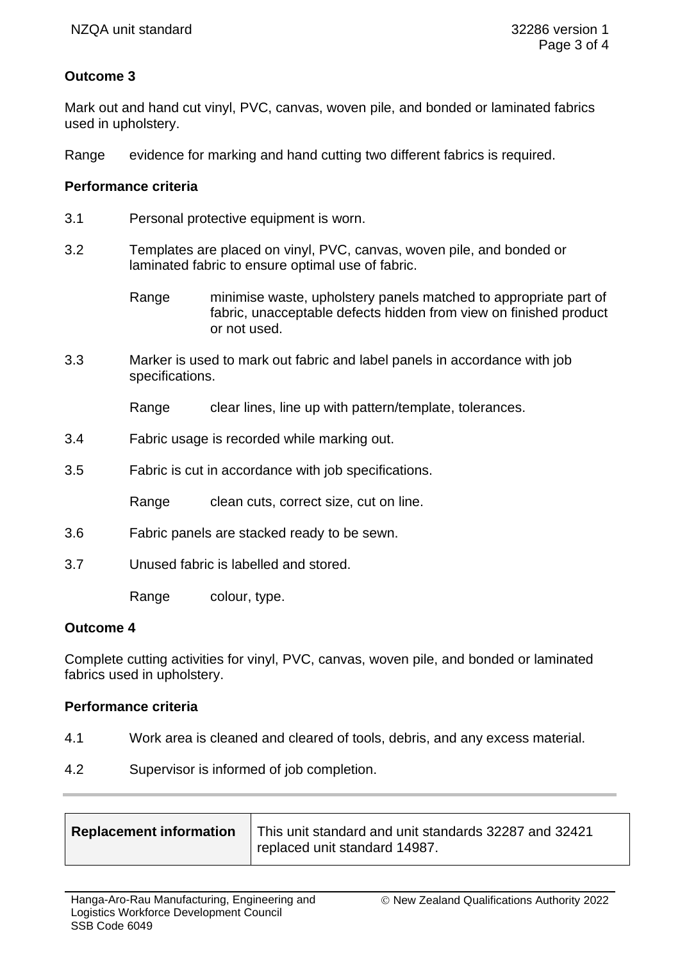## **Outcome 3**

Mark out and hand cut vinyl, PVC, canvas, woven pile, and bonded or laminated fabrics used in upholstery.

Range evidence for marking and hand cutting two different fabrics is required.

### **Performance criteria**

- 3.1 Personal protective equipment is worn.
- 3.2 Templates are placed on vinyl, PVC, canvas, woven pile, and bonded or laminated fabric to ensure optimal use of fabric.
	- Range minimise waste, upholstery panels matched to appropriate part of fabric, unacceptable defects hidden from view on finished product or not used.
- 3.3 Marker is used to mark out fabric and label panels in accordance with job specifications.

Range clear lines, line up with pattern/template, tolerances.

- 3.4 Fabric usage is recorded while marking out.
- 3.5 Fabric is cut in accordance with job specifications.

Range clean cuts, correct size, cut on line.

- 3.6 Fabric panels are stacked ready to be sewn.
- 3.7 Unused fabric is labelled and stored.

Range colour, type.

#### **Outcome 4**

Complete cutting activities for vinyl, PVC, canvas, woven pile, and bonded or laminated fabrics used in upholstery.

#### **Performance criteria**

- 4.1 Work area is cleaned and cleared of tools, debris, and any excess material.
- 4.2 Supervisor is informed of job completion.

| Replacement information   This unit standard and unit standards 32287 and 32421 |  |
|---------------------------------------------------------------------------------|--|
| <sup>1</sup> replaced unit standard 14987.                                      |  |